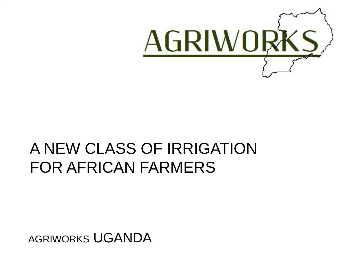

### A NEW CLASS OF IRRIGATION FOR AFRICAN FARMERS

AGRIWORKS UGANDA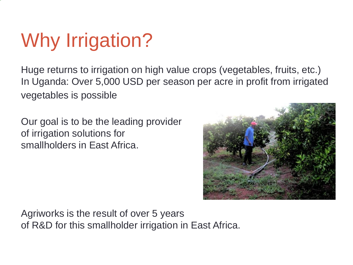# Why Irrigation?

Huge returns to irrigation on high value crops (vegetables, fruits, etc.) In Uganda: Over 5,000 USD per season per acre in profit from irrigated vegetables is possible

Our goal is to be the leading provider of irrigation solutions for smallholders in East Africa.



Agriworks is the result of over 5 years of R&D for this smallholder irrigation in East Africa.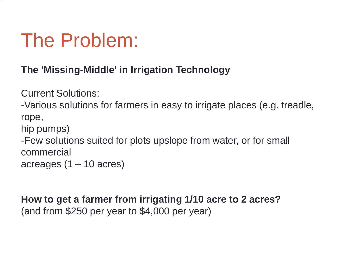### The Problem:

#### **The 'Missing-Middle' in Irrigation Technology**

Current Solutions:

-Various solutions for farmers in easy to irrigate places (e.g. treadle, rope,

hip pumps)

-Few solutions suited for plots upslope from water, or for small commercial

acreages  $(1 - 10 \text{ acres})$ 

#### **How to get a farmer from irrigating 1/10 acre to 2 acres?** (and from \$250 per year to \$4,000 per year)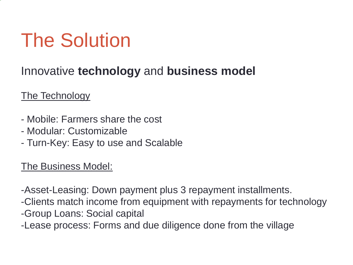# The Solution

### Innovative **technology** and **business model**

#### The Technology

- Mobile: Farmers share the cost
- Modular: Customizable
- Turn-Key: Easy to use and Scalable

#### The Business Model:

-Asset-Leasing: Down payment plus 3 repayment installments. -Clients match income from equipment with repayments for technology -Group Loans: Social capital -Lease process: Forms and due diligence done from the village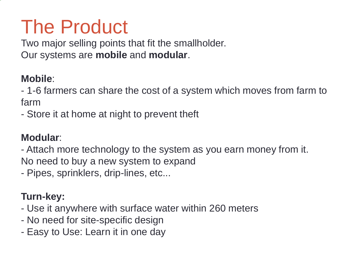### The Product

Two major selling points that fit the smallholder. Our systems are **mobile** and **modular**.

#### **Mobile**:

- 1-6 farmers can share the cost of a system which moves from farm to farm

- Store it at home at night to prevent theft

#### **Modular**:

- Attach more technology to the system as you earn money from it. No need to buy a new system to expand

- Pipes, sprinklers, drip-lines, etc...

#### **Turn-key:**

- Use it anywhere with surface water within 260 meters
- No need for site-specific design
- Easy to Use: Learn it in one day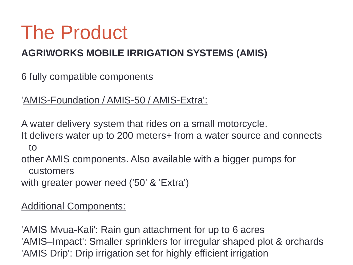### The Product

#### **AGRIWORKS MOBILE IRRIGATION SYSTEMS (AMIS)**

6 fully compatible components

'AMIS-Foundation / AMIS-50 / AMIS-Extra':

A water delivery system that rides on a small motorcycle. It delivers water up to 200 meters+ from a water source and connects to other AMIS components. Also available with a bigger pumps for customers with greater power need ('50' & 'Extra')

Additional Components:

'AMIS Mvua-Kali': Rain gun attachment for up to 6 acres 'AMIS–Impact': Smaller sprinklers for irregular shaped plot & orchards 'AMIS Drip': Drip irrigation set for highly efficient irrigation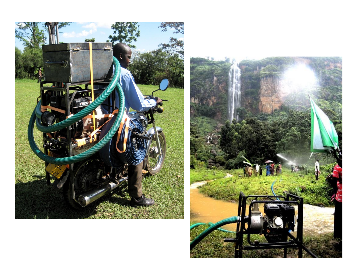

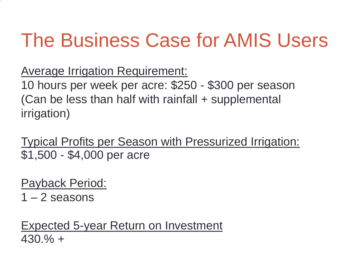## The Business Case for AMIS Users

Average Irrigation Requirement: 10 hours per week per acre: \$250 - \$300 per season (Can be less than half with rainfall + supplemental irrigation)

Typical Profits per Season with Pressurized Irrigation: \$1,500 - \$4,000 per acre

Payback Period:

 $1 - 2$  seasons

Expected 5-year Return on Investment  $430.% \pm$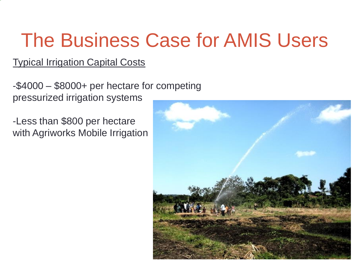## The Business Case for AMIS Users

#### Typical Irrigation Capital Costs

-\$4000 – \$8000+ per hectare for competing pressurized irrigation systems

-Less than \$800 per hectare with Agriworks Mobile Irrigation

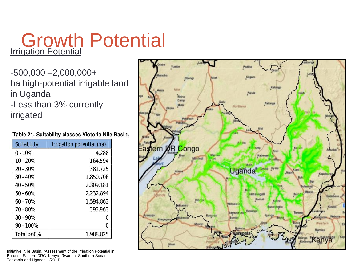

-500,000 –2,000,000+ ha high-potential irrigable land in Uganda -Less than 3% currently irrigated

#### Table 21. Suitability classes Victoria Nile Basin.

| Suitability | Irrigation potential (ha) |
|-------------|---------------------------|
| $0 - 10%$   | 4,288                     |
| $10 - 20%$  | 164,594                   |
| 20 - 30%    | 381,725                   |
| $30 - 40%$  | 1,850,706                 |
| 40 - 50%    | 2,309,181                 |
| $50 - 60%$  | 2,232,894                 |
| 60 - 70%    | 1,594,863                 |
| 70 - 80%    | 393,963                   |
| 80 - 90%    | 0                         |
| 90 - 100%   | 0                         |
| Total >60%  | 1,988,825                 |

Initiative, Nile Basin. "Assessment of the Irrigation Potential in Burundi, Eastern DRC, Kenya, Rwanda, Southern Sudan, Tanzania and Uganda." (2011).